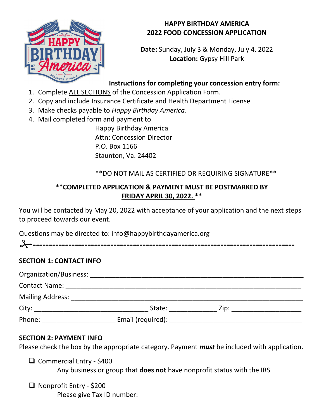

## HAPPY BIRTHDAY AMERICA 2022 FOOD CONCESSION APPLICATION

Date: Sunday, July 3 & Monday, July 4, 2022 Location: Gypsy Hill Park

# Instructions for completing your concession entry form:

- 1. Complete ALL SECTIONS of the Concession Application Form.
- 2. Copy and include Insurance Certificate and Health Department License
- 3. Make checks payable to Happy Birthday America.
- 4. Mail completed form and payment to Happy Birthday America Attn: Concession Director P.O. Box 1166 Staunton, Va. 24402

# \*\*DO NOT MAIL AS CERTIFIED OR REQUIRING SIGNATURE\*\*

## \*\*COMPLETED APPLICATION & PAYMENT MUST BE POSTMARKED BY FRIDAY APRIL 30, 2022. \*\*

You will be contacted by May 20, 2022 with acceptance of your application and the next steps to proceed towards our event.

Questions may be directed to: info@happybirthdayamerica.org

## SECTION 1: CONTACT INFO

| Organization/Business:  |                   |      |  |
|-------------------------|-------------------|------|--|
| <b>Contact Name:</b>    |                   |      |  |
| <b>Mailing Address:</b> |                   |      |  |
| City:                   | State:            | Zip: |  |
| Phone:                  | Email (required): |      |  |

### SECTION 2: PAYMENT INFO

Please check the box by the appropriate category. Payment *must* be included with application.

 Commercial Entry - \$400 Any business or group that does not have nonprofit status with the IRS

□ Nonprofit Entry - \$200 Please give Tax ID number:  $\blacksquare$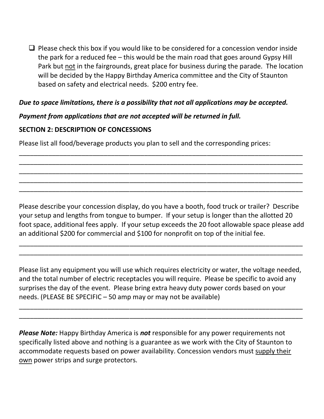$\Box$  Please check this box if you would like to be considered for a concession vendor inside the park for a reduced fee – this would be the main road that goes around Gypsy Hill Park but not in the fairgrounds, great place for business during the parade. The location will be decided by the Happy Birthday America committee and the City of Staunton based on safety and electrical needs. \$200 entry fee.

### Due to space limitations, there is a possibility that not all applications may be accepted.

## Payment from applications that are not accepted will be returned in full.

### SECTION 2: DESCRIPTION OF CONCESSIONS

Please list all food/beverage products you plan to sell and the corresponding prices:

Please describe your concession display, do you have a booth, food truck or trailer? Describe your setup and lengths from tongue to bumper. If your setup is longer than the allotted 20 foot space, additional fees apply. If your setup exceeds the 20 foot allowable space please add an additional \$200 for commercial and \$100 for nonprofit on top of the initial fee.

\_\_\_\_\_\_\_\_\_\_\_\_\_\_\_\_\_\_\_\_\_\_\_\_\_\_\_\_\_\_\_\_\_\_\_\_\_\_\_\_\_\_\_\_\_\_\_\_\_\_\_\_\_\_\_\_\_\_\_\_\_\_\_\_\_\_\_\_\_\_\_\_\_\_\_\_\_ \_\_\_\_\_\_\_\_\_\_\_\_\_\_\_\_\_\_\_\_\_\_\_\_\_\_\_\_\_\_\_\_\_\_\_\_\_\_\_\_\_\_\_\_\_\_\_\_\_\_\_\_\_\_\_\_\_\_\_\_\_\_\_\_\_\_\_\_\_\_\_\_\_\_\_\_\_

\_\_\_\_\_\_\_\_\_\_\_\_\_\_\_\_\_\_\_\_\_\_\_\_\_\_\_\_\_\_\_\_\_\_\_\_\_\_\_\_\_\_\_\_\_\_\_\_\_\_\_\_\_\_\_\_\_\_\_\_\_\_\_\_\_\_\_\_\_\_\_\_\_\_\_\_\_ \_\_\_\_\_\_\_\_\_\_\_\_\_\_\_\_\_\_\_\_\_\_\_\_\_\_\_\_\_\_\_\_\_\_\_\_\_\_\_\_\_\_\_\_\_\_\_\_\_\_\_\_\_\_\_\_\_\_\_\_\_\_\_\_\_\_\_\_\_\_\_\_\_\_\_\_\_ \_\_\_\_\_\_\_\_\_\_\_\_\_\_\_\_\_\_\_\_\_\_\_\_\_\_\_\_\_\_\_\_\_\_\_\_\_\_\_\_\_\_\_\_\_\_\_\_\_\_\_\_\_\_\_\_\_\_\_\_\_\_\_\_\_\_\_\_\_\_\_\_\_\_\_\_\_ \_\_\_\_\_\_\_\_\_\_\_\_\_\_\_\_\_\_\_\_\_\_\_\_\_\_\_\_\_\_\_\_\_\_\_\_\_\_\_\_\_\_\_\_\_\_\_\_\_\_\_\_\_\_\_\_\_\_\_\_\_\_\_\_\_\_\_\_\_\_\_\_\_\_\_\_\_ \_\_\_\_\_\_\_\_\_\_\_\_\_\_\_\_\_\_\_\_\_\_\_\_\_\_\_\_\_\_\_\_\_\_\_\_\_\_\_\_\_\_\_\_\_\_\_\_\_\_\_\_\_\_\_\_\_\_\_\_\_\_\_\_\_\_\_\_\_\_\_\_\_\_\_\_\_

Please list any equipment you will use which requires electricity or water, the voltage needed, and the total number of electric receptacles you will require. Please be specific to avoid any surprises the day of the event. Please bring extra heavy duty power cords based on your needs. (PLEASE BE SPECIFIC – 50 amp may or may not be available)

\_\_\_\_\_\_\_\_\_\_\_\_\_\_\_\_\_\_\_\_\_\_\_\_\_\_\_\_\_\_\_\_\_\_\_\_\_\_\_\_\_\_\_\_\_\_\_\_\_\_\_\_\_\_\_\_\_\_\_\_\_\_\_\_\_\_\_\_\_\_\_\_\_\_\_\_\_ \_\_\_\_\_\_\_\_\_\_\_\_\_\_\_\_\_\_\_\_\_\_\_\_\_\_\_\_\_\_\_\_\_\_\_\_\_\_\_\_\_\_\_\_\_\_\_\_\_\_\_\_\_\_\_\_\_\_\_\_\_\_\_\_\_\_\_\_\_\_\_\_\_\_\_\_\_

**Please Note:** Happy Birthday America is **not** responsible for any power requirements not specifically listed above and nothing is a guarantee as we work with the City of Staunton to accommodate requests based on power availability. Concession vendors must supply their own power strips and surge protectors.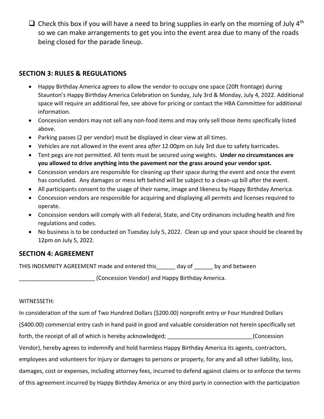$\Box$  Check this box if you will have a need to bring supplies in early on the morning of July 4<sup>th</sup> so we can make arrangements to get you into the event area due to many of the roads being closed for the parade lineup.

#### SECTION 3: RULES & REGULATIONS

- Happy Birthday America agrees to allow the vendor to occupy one space (20ft frontage) during Staunton's Happy Birthday America Celebration on Sunday, July 3rd & Monday, July 4, 2022. Additional space will require an additional fee, see above for pricing or contact the HBA Committee for additional information.
- Concession vendors may not sell any non-food items and may only sell those items specifically listed above.
- Parking passes (2 per vendor) must be displayed in clear view at all times.
- Vehicles are not allowed in the event area after 12:00pm on July 3rd due to safety barricades.
- Tent pegs are not permitted. All tents must be secured using weights. Under no circumstances are you allowed to drive anything into the pavement nor the grass around your vendor spot.
- Concession vendors are responsible for cleaning up their space during the event and once the event has concluded. Any damages or mess left behind will be subject to a clean-up bill after the event.
- All participants consent to the usage of their name, image and likeness by Happy Birthday America.
- Concession vendors are responsible for acquiring and displaying all permits and licenses required to operate.
- Concession vendors will comply with all Federal, State, and City ordinances including health and fire regulations and codes.
- No business is to be conducted on Tuesday July 5, 2022. Clean up and your space should be cleared by 12pm on July 5, 2022.

#### SECTION 4: AGREEMENT

THIS INDEMNITY AGREEMENT made and entered this\_\_\_\_\_\_ day of \_\_\_\_\_\_ by and between

\_\_\_\_\_\_\_\_\_\_\_\_\_\_\_\_\_\_\_\_\_\_\_\_ (Concession Vendor) and Happy Birthday America.

#### WITNESSETH:

In consideration of the sum of Two Hundred Dollars (\$200.00) nonprofit entry or Four Hundred Dollars (\$400.00) commercial entry cash in hand paid in good and valuable consideration not herein specifically set forth, the receipt of all of which is hereby acknowledged; \_\_\_\_\_\_\_\_\_\_\_\_\_\_\_\_\_\_\_\_\_\_\_\_\_\_\_\_\_(Concession Vendor), hereby agrees to indemnify and hold harmless Happy Birthday America its agents, contractors, employees and volunteers for injury or damages to persons or property, for any and all other liability, loss, damages, cost or expenses, including attorney fees, incurred to defend against claims or to enforce the terms of this agreement incurred by Happy Birthday America or any third party in connection with the participation